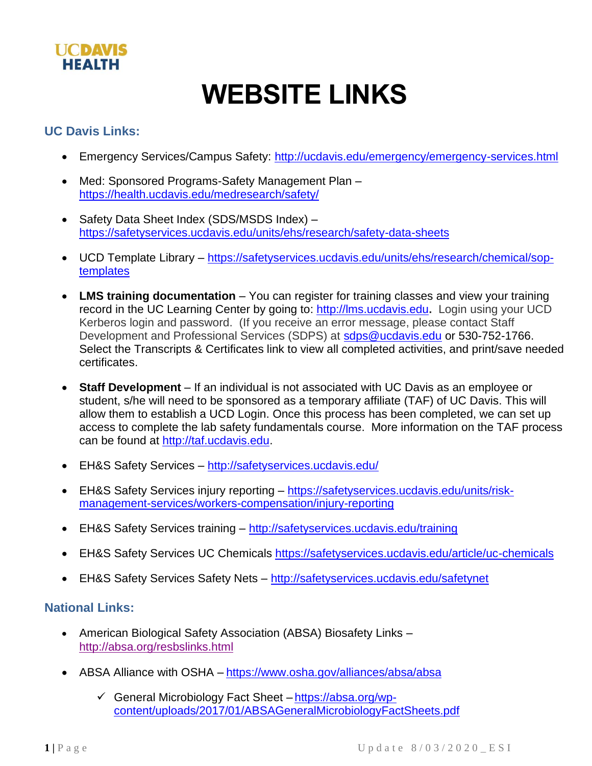

## **WEBSITE LINKS**

## **UC Davis Links:**

- Emergency Services/Campus Safety:<http://ucdavis.edu/emergency/emergency-services.html>
- Med: Sponsored Programs-Safety Management Plan <https://health.ucdavis.edu/medresearch/safety/>
- Safety Data Sheet Index (SDS/MSDS Index) <https://safetyservices.ucdavis.edu/units/ehs/research/safety-data-sheets>
- UCD Template Library [https://safetyservices.ucdavis.edu/units/ehs/research/chemical/sop](https://safetyservices.ucdavis.edu/units/ehs/research/chemical/sop-templates)[templates](https://safetyservices.ucdavis.edu/units/ehs/research/chemical/sop-templates)
- **LMS training documentation** You can register for training classes and view your training record in the UC Learning Center by going to: [http://lms.ucdavis.edu](http://lms.ucdavis.edu/)**.** Login using your UCD Kerberos login and password. (If you receive an error message, please contact Staff Development and Professional Services (SDPS) at [sdps@ucdavis.edu](mailto:sdps@ucdavis.edu) or 530-752-1766. Select the Transcripts & Certificates link to view all completed activities, and print/save needed certificates.
- **Staff Development** If an individual is not associated with UC Davis as an employee or student, s/he will need to be sponsored as a temporary affiliate (TAF) of UC Davis. This will allow them to establish a UCD Login. Once this process has been completed, we can set up access to complete the lab safety fundamentals course. More information on the TAF process can be found at [http://taf.ucdavis.edu.](http://taf.ucdavis.edu/)
- EH&S Safety Services <http://safetyservices.ucdavis.edu/>
- EH&S Safety Services injury reporting [https://safetyservices.ucdavis.edu/units/risk](https://safetyservices.ucdavis.edu/units/risk-management-services/workers-compensation/injury-reporting)[management-services/workers-compensation/injury-reporting](https://safetyservices.ucdavis.edu/units/risk-management-services/workers-compensation/injury-reporting)
- EH&S Safety Services training <http://safetyservices.ucdavis.edu/training>
- EH&S Safety Services UC Chemicals<https://safetyservices.ucdavis.edu/article/uc-chemicals>
- EH&S Safety Services Safety Nets <http://safetyservices.ucdavis.edu/safetynet>

## **National Links:**

- American Biological Safety Association (ABSA) Biosafety Links <http://absa.org/resbslinks.html>
- ABSA Alliance with OSHA <https://www.osha.gov/alliances/absa/absa>
	- ✓ General Microbiology Fact Sheet [https://absa.org/wp](https://absa.org/wp-content/uploads/2017/01/ABSAGeneralMicrobiologyFactSheets.pdf)[content/uploads/2017/01/ABSAGeneralMicrobiologyFactSheets.pdf](https://absa.org/wp-content/uploads/2017/01/ABSAGeneralMicrobiologyFactSheets.pdf)